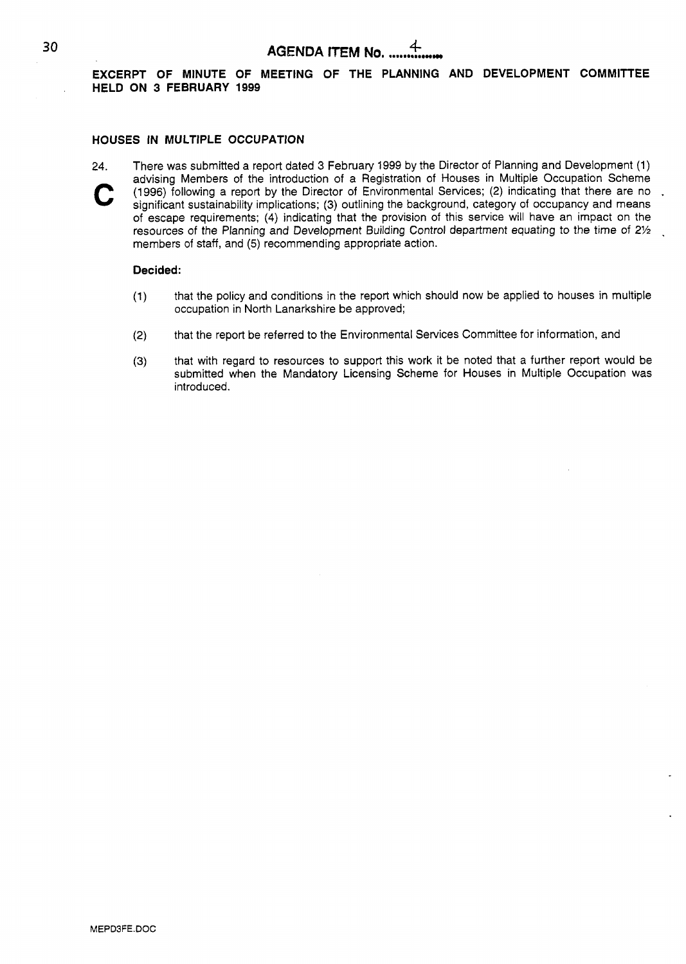#### **EXCERPT OF MINUTE OF MEETING OF THE PLANNING AND DEVELOPMENT COMMITTEE HELD ON 3 FEBRUARY 1999**

#### **HOUSES IN MULTIPLE OCCUPATION**

**24.** There was submitted a report dated 3 February 1999 by the Director of Planning and Development (1) advising Members of the introduction *of* a Registration of Houses in Multiple Occupation Scheme significant sustainability implications; (3) outlining the background, category of occupancy and means of escape requirements; **(4)** indicating that the provision of this service will have an impact on the resources of the Planning and Development Building Control department equating to the time of 21/2 members of staff, and (5) recommending appropriate action.

#### **Decided:**

- (1) that the policy and conditions in the report which should now be applied to houses in multiple occupation in North Lanarkshire be approved;
- (2) that the report be referred to the Environmental Services Committee for information, and
- **(3)** that with regard to resources to support this work it be noted that a further report would be submitted when the Mandatory Licensing Scheme for Houses in Multiple Occupation was introduced.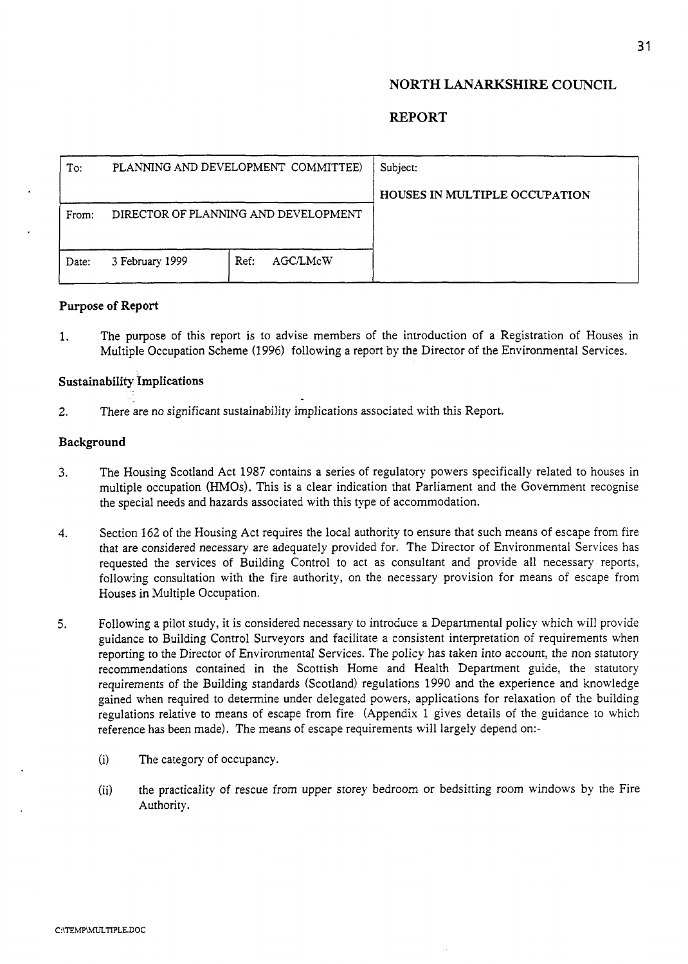## **NORTH LANARKSHIRE COUNCIL**

## **REPORT**

| To:   | PLANNING AND DEVELOPMENT COMMITTEE)  |                  | Subject:                      |
|-------|--------------------------------------|------------------|-------------------------------|
|       |                                      |                  | HOUSES IN MULTIPLE OCCUPATION |
| From: | DIRECTOR OF PLANNING AND DEVELOPMENT |                  |                               |
|       |                                      |                  |                               |
| Date: | 3 February 1999                      | AGC/LMcW<br>Ref: |                               |
|       |                                      |                  |                               |

#### **Purpose of Report**

1. The purpose of this report is to advise members of the introduction of a Registration of Houses in Multiple Occupation Scheme (1996) following a report by the Director of the Environmental Services.

#### **SustainabiIity ImpIications**

**2.** There are no significant sustainability implications associated with this Report.

#### **Background**

- 3. The Housing Scotland Act 1987 contains a series of regulatory powers specifically related to houses in multiple occupation (HMOs). This is a clear indication that Parliament and the Government recognise the special needs and hazards associated with this type of accommodation.
- **4.** Section 162 of the Housing Act requires the local authority to ensure that such means of escape from fire that are considered necessary are adequately provided for. The Director of Environmental Services has requested the services of Building Control to act as consultant and provide all necessary reports, following consultation with the fire authority, on the necessary provision for means of escape from Houses in Multiple Occupation.
- **5.** Following a pilot study, it is considered necessary to introduce a Departmental policy which will provide guidance to Building Control Surveyors and facilitate a consistent interpretation of requirements when reporting to the Director of Environmental Services. The policy has taken into account, the non statutory recommendations contained in the Scottish Home and Health Department guide, the statutory requirements of the Building standards (Scotland) regulations 1990 and the experience and knowledge gained when required to determine under delegated powers, applications for relaxation of the building regulations relative to means of escape from fire (Appendix 1 gives details of the guidance to which reference has been made). The means of escape requirements will largely depend on:-
	- (i) The category of occupancy.
	- (ii) the practicality of rescue from upper storey bedroom or bedsitting room windows by the Fire Authority.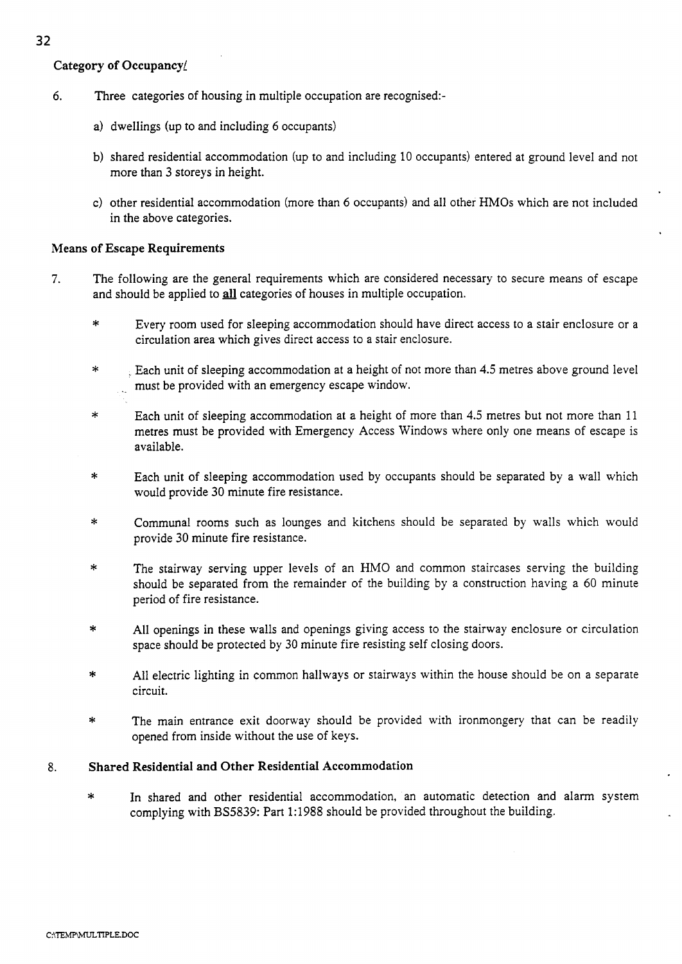- *6.* Three categories of housing in multiple occupation are recognised:
	- a) dwellings **(up** to and including 6 occupants)
	- b) shared residential accommodation (up to and including 10 occupants) entered at ground level and not more than 3 storeys in height.
	- c) other residential accommodation (more than 6 occupants) and all other HMOs which are not included in the above categories.

## **Means of Escape Requirements**

- 7. The following are the general requirements which are considered necessary to secure means of escape and should be applied to all categories of houses in multiple occupation.
	- \* Every room used for sleeping accommodation should have direct access to a stair enclosure or a circulation area which gives direct access to a stair enclosure.
	- \* . Each unit of sleeping accommodation at a height of not more than **4.5** metres above ground level . must be provided with an emergency escape window.
	- \* Each unit of sleeping accommodation at a height of more than **4.5** metres but not more than 11 metres must be provided with Emergency Access Windows where only one means of escape is available.
	- \* Each unit of sleeping accommodation used by occupants should be separated by a wall which would provide 30 minute fire resistance.
	- \* Communal rooms such as lounges and kitchens should be separated by walls which would provide 30 minute fire resistance.
	- \* The stairway serving upper levels of an HMO and common staircases serving the building should be separated from the remainder of the building by a construction having a 60 minute period of fire resistance.
	- \* All openings in these walls and openings giving access to the stairway enclosure or circulation space should be protected by 30 minute fire resisting self closing doors.
	- \* All electric lighting in common hallways or stairways within the house should be on a separate circuit.
	- \* The main entrance exit doorway should be provided with ironmongery that can be readily opened from inside without the use of keys.

## 8. **Shared Residential and Other Residential Accommodation**

In shared and other residential accommodation, an automatic detection and alarm system complying with BS5839: Part 1:1988 should be provided throughout the building.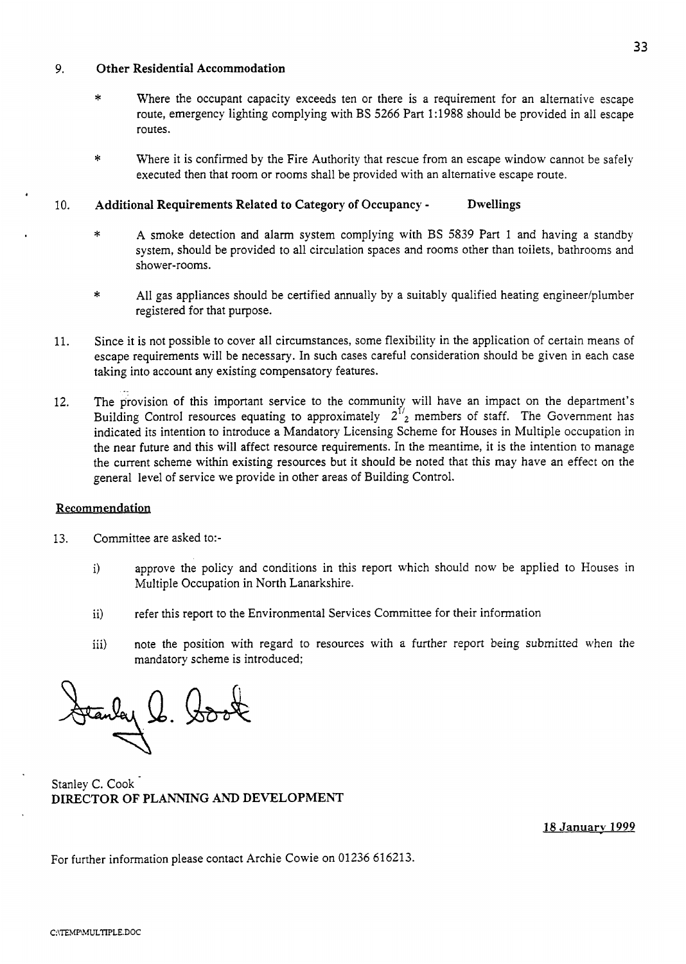## *9.* **Other Residential Accommodation**

- Where the occupant capacity exceeds ten or there is a requirement for an alternative escape route, emergency lighting complying with BS 5266 Part 1 : 1988 should be provided in all escape routes.
- \* Where it is confirmed by the Fire Authority that rescue from an escape window cannot be safely executed then that room or rooms shall be provided with an alternative escape route.

## 10. **Additional Requirements Related to Category of Occupancy** - **Dwellings**

- \* A smoke detection and alarm system complying with BS 5839 Part 1 and having a standby system, should be provided to all circulation spaces and rooms other than toilets, bathrooms and shower-rooms.
- $*$  All gas appliances should be certified annually by a suitably qualified heating engineer/plumber registered for that purpose.
- 11. Since it is not possible to cover all circumstances, some flexibility in the application of certain means of escape requirements will be necessary. In such cases careful consideration should be given in each case taking into account any existing compensatory features.
- The provision of this important service to the community will have an impact on the department's Building Control resources equating to approximately  $2^{1/2}$  members of staff. The Government has indicated its intention to introduce a Mandatory Licensing Scheme for Houses in Multiple occupation in the near future and this will affect resource requirements. In the meantime, it is the intention to manage the current scheme within existing resources but it should be noted that this may have an effect on the general level of service we provide in other areas of Building Control. .\_ 12.

### **Recommendation**

- 13. Committee are asked to:
	- i) approve the policy and conditions in this report which should now be applied to Houses in Multiple Occupation in North Lanarkshire.
	- ii) refer this report to the Environmental Services Committee for their information
	- iii) note the position with regard to resources with a further report being submitted when the mandatory scheme is introduced;

 $24.8.8$ 

Stanley C. Cook **DIRECTOR** OF **PLANNING AND DEVELOPMENT** 

**18 Januarv 1999** 

For further information please contact Archie Cowie on 01236 616213.